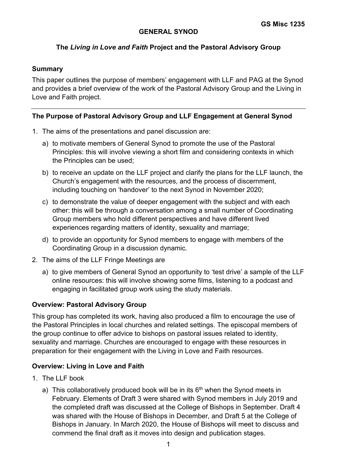# **GENERAL SYNOD**

# **The** *Living in Love and Faith* **Project and the Pastoral Advisory Group**

## **Summary**

This paper outlines the purpose of members' engagement with LLF and PAG at the Synod and provides a brief overview of the work of the Pastoral Advisory Group and the Living in Love and Faith project.

## **The Purpose of Pastoral Advisory Group and LLF Engagement at General Synod**

- 1. The aims of the presentations and panel discussion are:
	- a) to motivate members of General Synod to promote the use of the Pastoral Principles: this will involve viewing a short film and considering contexts in which the Principles can be used;
	- b) to receive an update on the LLF project and clarify the plans for the LLF launch, the Church's engagement with the resources, and the process of discernment, including touching on 'handover' to the next Synod in November 2020;
	- c) to demonstrate the value of deeper engagement with the subject and with each other: this will be through a conversation among a small number of Coordinating Group members who hold different perspectives and have different lived experiences regarding matters of identity, sexuality and marriage;
	- d) to provide an opportunity for Synod members to engage with members of the Coordinating Group in a discussion dynamic.
- 2. The aims of the LLF Fringe Meetings are
	- a) to give members of General Synod an opportunity to 'test drive' a sample of the LLF online resources: this will involve showing some films, listening to a podcast and engaging in facilitated group work using the study materials.

## **Overview: Pastoral Advisory Group**

This group has completed its work, having also produced a film to encourage the use of the Pastoral Principles in local churches and related settings. The episcopal members of the group continue to offer advice to bishops on pastoral issues related to identity, sexuality and marriage. Churches are encouraged to engage with these resources in preparation for their engagement with the Living in Love and Faith resources.

## **Overview: Living in Love and Faith**

- 1. The LLF book
	- a) This collaboratively produced book will be in its  $6<sup>th</sup>$  when the Synod meets in February. Elements of Draft 3 were shared with Synod members in July 2019 and the completed draft was discussed at the College of Bishops in September. Draft 4 was shared with the House of Bishops in December, and Draft 5 at the College of Bishops in January. In March 2020, the House of Bishops will meet to discuss and commend the final draft as it moves into design and publication stages.